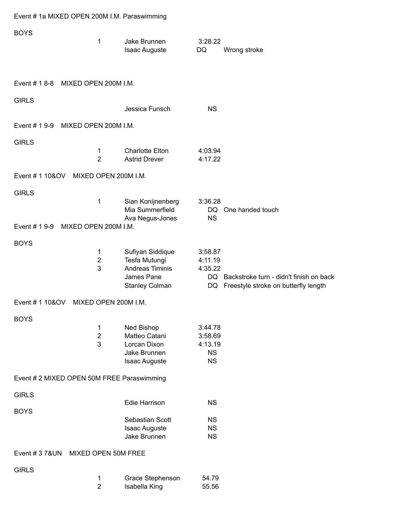|  |  | Event # 1a MIXED OPEN 200M I.M. Paraswimming |
|--|--|----------------------------------------------|
|  |  |                                              |

| <b>BOYS</b>     | 1                                          | Jake Brunnen<br><b>Isaac Auguste</b>                    | 3:28.22<br>DQ          | Wrong stroke                                                                          |
|-----------------|--------------------------------------------|---------------------------------------------------------|------------------------|---------------------------------------------------------------------------------------|
|                 | Event # 1 8-8 MIXED OPEN 200M I.M.         |                                                         |                        |                                                                                       |
| <b>GIRLS</b>    |                                            | Jessica Funsch                                          | <b>NS</b>              |                                                                                       |
| Event # 1 9-9   | MIXED OPEN 200M I.M.                       |                                                         |                        |                                                                                       |
| <b>GIRLS</b>    |                                            |                                                         |                        |                                                                                       |
|                 | 1<br>$\overline{2}$                        | <b>Charlotte Elton</b><br><b>Astrid Drever</b>          | 4:03.94<br>4:17.22     |                                                                                       |
| Event # 1 10&OV | MIXED OPEN 200M I.M.                       |                                                         |                        |                                                                                       |
| <b>GIRLS</b>    |                                            |                                                         |                        |                                                                                       |
|                 | 1                                          | Sian Konijnenberg<br>Mia Summerfield<br>Ava Negus-Jones | 3:36.28<br><b>NS</b>   | DQ One handed touch                                                                   |
| Event # 1 9-9   | MIXED OPEN 200M I.M.                       |                                                         |                        |                                                                                       |
| <b>BOYS</b>     |                                            |                                                         |                        |                                                                                       |
|                 | 1<br>$\overline{\mathbf{c}}$               | Sufiyan Siddique<br>Tesfa Mutungi                       | 3:58.87<br>4:11.19     |                                                                                       |
|                 | 3                                          | Andreas Timinis                                         | 4:35.22                |                                                                                       |
|                 |                                            | James Pane<br><b>Stanley Colman</b>                     |                        | DQ Backstroke turn - didn't finish on back<br>DQ Freestyle stroke on butterfly length |
| Event # 1 10&OV | MIXED OPEN 200M I.M.                       |                                                         |                        |                                                                                       |
| <b>BOYS</b>     |                                            |                                                         |                        |                                                                                       |
|                 | 1                                          | Ned Bishop                                              | 3:44.78                |                                                                                       |
|                 | $\overline{\mathbf{c}}$<br>3               | Matteo Catani<br>Lorcan Dixon                           | 3:58.69<br>4:13.19     |                                                                                       |
|                 |                                            | Jake Brunnen                                            | <b>NS</b>              |                                                                                       |
|                 |                                            | <b>Isaac Auguste</b>                                    | <b>NS</b>              |                                                                                       |
|                 | Event # 2 MIXED OPEN 50M FREE Paraswimming |                                                         |                        |                                                                                       |
| <b>GIRLS</b>    |                                            | <b>Edie Harrison</b>                                    | <b>NS</b>              |                                                                                       |
| <b>BOYS</b>     |                                            |                                                         |                        |                                                                                       |
|                 |                                            | Sebastian Scott<br><b>Isaac Auguste</b>                 | <b>NS</b><br><b>NS</b> |                                                                                       |
|                 |                                            | Jake Brunnen                                            | <b>NS</b>              |                                                                                       |
| Event # 3 7&UN  | MIXED OPEN 50M FREE                        |                                                         |                        |                                                                                       |
| <b>GIRLS</b>    |                                            |                                                         |                        |                                                                                       |
|                 | 1<br>$\overline{2}$                        | Grace Stephenson<br>Isabella King                       | 54.79<br>55.56         |                                                                                       |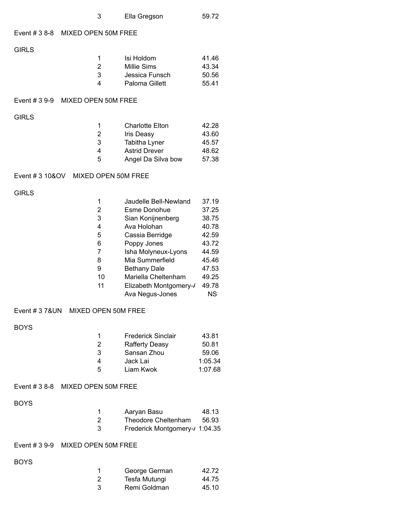| - 3 | Ella Gregson | 59.72 |
|-----|--------------|-------|
|     |              |       |

### Event # 3 8-8 MIXED OPEN 50M FREE

GIRLS

|   | Isi Holdom     | 41.46 |
|---|----------------|-------|
| 2 | Millie Sims    | 43.34 |
| 3 | Jessica Funsch | 50.56 |
| Δ | Paloma Gillett | 55.41 |

### Event # 3 9-9 MIXED OPEN 50M FREE

GIRLS

| -1 | <b>Charlotte Elton</b> | 42.28 |
|----|------------------------|-------|
| 2  | <b>Iris Deasy</b>      | 43.60 |
| 3  | Tabitha Lyner          | 45.57 |
| 4  | <b>Astrid Drever</b>   | 48.62 |
| 5  | Angel Da Silva bow     | 57.38 |

### Event # 3 10&OV MIXED OPEN 50M FREE

GIRLS

| 1  | Jaudelle Bell-Newland  | 37.19 |
|----|------------------------|-------|
| 2  | <b>Esme Donohue</b>    | 37.25 |
| 3  | Sian Konijnenberg      | 38.75 |
| 4  | Ava Holohan            | 40.78 |
| 5  | Cassia Berridge        | 42.59 |
| 6  | Poppy Jones            | 43.72 |
| 7  | Isha Molyneux-Lyons    | 44.59 |
| 8  | Mia Summerfield        | 45.46 |
| 9  | <b>Bethany Dale</b>    | 47.53 |
| 10 | Mariella Cheltenham    | 49.25 |
| 11 | Elizabeth Montgomery-/ | 49.78 |
|    | Ava Negus-Jones        | ΝS    |

## Event # 3 7&UN MIXED OPEN 50M FREE

BOYS

| 1 | <b>Frederick Sinclair</b> | 43.81   |
|---|---------------------------|---------|
| 2 | <b>Rafferty Deasy</b>     | 50.81   |
| 3 | Sansan Zhou               | 59.06   |
| 4 | Jack Lai                  | 1:05.34 |
| 5 | Liam Kwok                 | 1:07.68 |

#### Event # 3 8-8 MIXED OPEN 50M FREE

BOYS

| -1 | Aaryan Basu                    | 48.13 |
|----|--------------------------------|-------|
| 2  | Theodore Cheltenham            | 56.93 |
| 3  | Frederick Montgomery-/ 1:04.35 |       |

# Event # 3 9-9 MIXED OPEN 50M FREE

BOYS

|    | George German | 42.72 |
|----|---------------|-------|
| -2 | Tesfa Mutungi | 44.75 |
| -3 | Remi Goldman  | 45.10 |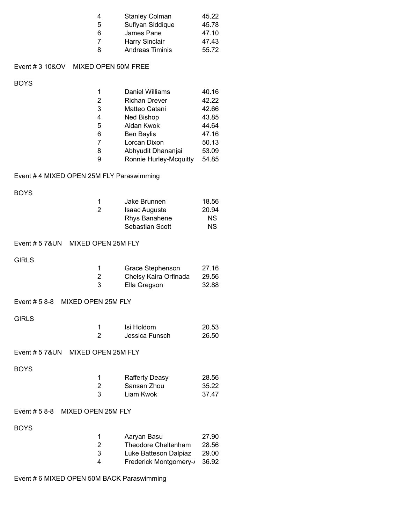| 45.22 |
|-------|
| 45.78 |
| 47.10 |
| 47.43 |
| 55.72 |
|       |

# Event # 3 10&OV MIXED OPEN 50M FREE

BOYS

| 1 | Daniel Williams        | 40.16 |
|---|------------------------|-------|
| 2 | <b>Richan Drever</b>   | 42.22 |
| 3 | Matteo Catani          | 42.66 |
| 4 | <b>Ned Bishop</b>      | 43.85 |
| 5 | Aidan Kwok             | 44.64 |
| 6 | <b>Ben Baylis</b>      | 47.16 |
| 7 | Lorcan Dixon           | 50.13 |
| 8 | Abhyudit Dhananjai     | 53.09 |
| g | Ronnie Hurley-Mcquitty | 54.85 |

# Event # 4 MIXED OPEN 25M FLY Paraswimming

BOYS

| 1  | Jake Brunnen         | 18.56 |
|----|----------------------|-------|
| -2 | <b>Isaac Auguste</b> | 20.94 |
|    | Rhys Banahene        | NS.   |
|    | Sebastian Scott      | ΝS    |

#### Event # 5 7&UN MIXED OPEN 25M FLY

**GIRLS** 

|    | Grace Stephenson      | 27.16 |
|----|-----------------------|-------|
| -2 | Chelsy Kaira Orfinada | 29.56 |
| 3  | Ella Gregson          | 32.88 |

GIRLS

| Isi Holdom     | 20.53 |
|----------------|-------|
| Jessica Funsch | 26.50 |

#### Event # 5 7&UN MIXED OPEN 25M FLY

BOYS

| 1 | <b>Rafferty Deasy</b> | 28.56 |
|---|-----------------------|-------|
| 2 | Sansan Zhou           | 35.22 |
| 3 | Liam Kwok             | 37.47 |

# Event # 5 8-8 MIXED OPEN 25M FLY

BOYS

| 1  | Aaryan Basu            | 27.90 |
|----|------------------------|-------|
| -2 | Theodore Cheltenham    | 28.56 |
| 3  | Luke Batteson Dalpiaz  | 29.00 |
| 4  | Frederick Montgomery-/ | 36.92 |

# Event # 6 MIXED OPEN 50M BACK Paraswimming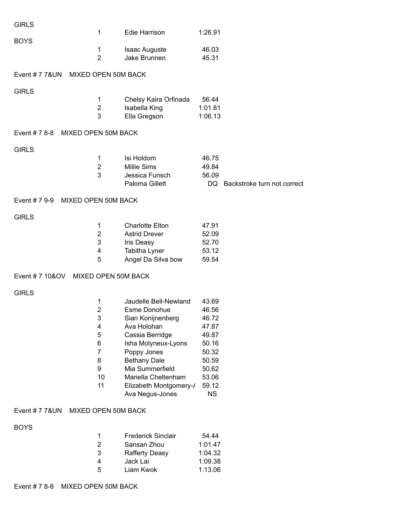| <b>GIRLS</b>                        |                     |                                                |                |                                |
|-------------------------------------|---------------------|------------------------------------------------|----------------|--------------------------------|
| <b>BOYS</b>                         | 1                   | Edie Harrison                                  | 1:26.91        |                                |
|                                     | $\mathbf 1$         | <b>Isaac Auguste</b>                           | 46.03          |                                |
|                                     | $\overline{2}$      | Jake Brunnen                                   | 45.31          |                                |
| Event # 7 7& UN MIXED OPEN 50M BACK |                     |                                                |                |                                |
|                                     |                     |                                                |                |                                |
| <b>GIRLS</b>                        | 1                   | Chelsy Kaira Orfinada                          | 56.44          |                                |
|                                     | $\mathbf 2$         | Isabella King                                  | 1:01.81        |                                |
|                                     | 3                   | Ella Gregson                                   | 1:06.13        |                                |
| Event # 7 8-8 MIXED OPEN 50M BACK   |                     |                                                |                |                                |
|                                     |                     |                                                |                |                                |
| <b>GIRLS</b>                        |                     |                                                |                |                                |
|                                     | 1                   | Isi Holdom                                     | 46.75          |                                |
|                                     | $\overline{2}$<br>3 | Millie Sims<br>Jessica Funsch                  | 49.84<br>56.09 |                                |
|                                     |                     | Paloma Gillett                                 |                | DQ Backstroke turn not correct |
| Event # 7 9-9 MIXED OPEN 50M BACK   |                     |                                                |                |                                |
|                                     |                     |                                                |                |                                |
| <b>GIRLS</b>                        |                     |                                                |                |                                |
|                                     | 1<br>$\overline{2}$ | <b>Charlotte Elton</b><br><b>Astrid Drever</b> | 47.91<br>52.09 |                                |
|                                     | 3                   | Iris Deasy                                     | 52.70          |                                |
|                                     | 4                   | Tabitha Lyner                                  | 53.12          |                                |
|                                     | 5                   | Angel Da Silva bow                             | 59.54          |                                |
| Event # 7 10&OV MIXED OPEN 50M BACK |                     |                                                |                |                                |
|                                     |                     |                                                |                |                                |
| <b>GIRLS</b>                        | 1                   | Jaudelle Bell-Newland                          | 43.69          |                                |
|                                     | $\overline{2}$      | Esme Donohue                                   | 46.56          |                                |
|                                     | 3                   | Sian Konijnenberg                              | 46.72          |                                |
|                                     | 4                   | Ava Holohan                                    | 47.87          |                                |
|                                     | 5                   | Cassia Berridge                                | 49.87          |                                |
|                                     | 6                   | Isha Molyneux-Lyons                            | 50.16          |                                |
|                                     | 7                   | Poppy Jones                                    | 50.32          |                                |
|                                     | 8<br>9              | <b>Bethany Dale</b><br>Mia Summerfield         | 50.59<br>50.62 |                                |
|                                     | 10                  | Mariella Cheltenham                            | 53.06          |                                |
|                                     | 11                  | Elizabeth Montgomery-/                         | 59.12          |                                |
|                                     |                     | Ava Negus-Jones                                | <b>NS</b>      |                                |
| Event # 7 7&UN MIXED OPEN 50M BACK  |                     |                                                |                |                                |
|                                     |                     |                                                |                |                                |
| <b>BOYS</b>                         | 1                   | <b>Frederick Sinclair</b>                      | 54.44          |                                |
|                                     | $\overline{2}$      | Sansan Zhou                                    | 1:01.47        |                                |
|                                     | 3                   | <b>Rafferty Deasy</b>                          | 1:04.32        |                                |
|                                     | 4                   | Jack Lai                                       | 1:09.38        |                                |
|                                     | 5                   | Liam Kwok                                      | 1:13.06        |                                |
| Event # 7 8-8 MIXED OPEN 50M BACK   |                     |                                                |                |                                |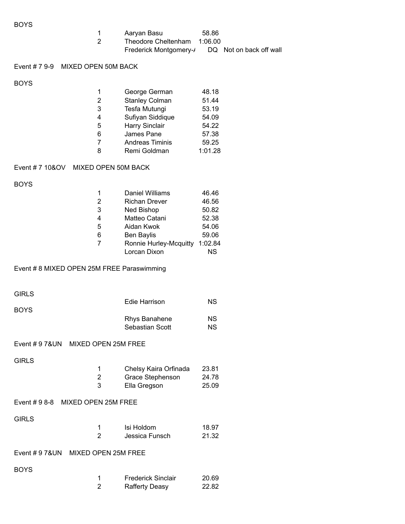BOYS

| -1 | Aaryan Basu            | 58.86   |                         |
|----|------------------------|---------|-------------------------|
| 2  | Theodore Cheltenham    | 1:06.00 |                         |
|    | Frederick Montgomery-/ |         | DQ Not on back off wall |

# Event # 7 9-9 MIXED OPEN 50M BACK

BOYS

| 1 | George German          | 48.18   |
|---|------------------------|---------|
| 2 | <b>Stanley Colman</b>  | 51.44   |
| 3 | Tesfa Mutungi          | 53.19   |
| 4 | Sufiyan Siddique       | 54.09   |
| 5 | Harry Sinclair         | 54.22   |
| 6 | James Pane             | 57.38   |
| 7 | <b>Andreas Timinis</b> | 59.25   |
| 8 | Remi Goldman           | 1:01.28 |

### Event # 7 10&OV MIXED OPEN 50M BACK

BOYS

|   | Daniel Williams        | 46.46   |
|---|------------------------|---------|
| 2 | <b>Richan Drever</b>   | 46.56   |
| 3 | <b>Ned Bishop</b>      | 50.82   |
| 4 | Matteo Catani          | 52.38   |
| 5 | Aidan Kwok             | 54.06   |
| 6 | <b>Ben Baylis</b>      | 59.06   |
| 7 | Ronnie Hurley-Mcquitty | 1:02.84 |
|   | Lorcan Dixon           | ΝS      |

#### Event # 8 MIXED OPEN 25M FREE Paraswimming

| <b>GIRLS</b> |                      |    |
|--------------|----------------------|----|
|              | Edie Harrison        | ΝS |
| <b>BOYS</b>  |                      |    |
|              | <b>Rhys Banahene</b> | ΝS |
|              | Sebastian Scott      | ΝS |

## Event # 9 7&UN MIXED OPEN 25M FREE

GIRLS

|   | Chelsy Kaira Orfinada | 23.81 |
|---|-----------------------|-------|
| 2 | Grace Stephenson      | 24.78 |
| 3 | Ella Gregson          | 25.09 |

#### Event # 9 8-8 MIXED OPEN 25M FREE

GIRLS

| Isi Holdom     | 18.97 |
|----------------|-------|
| Jessica Funsch | 21.32 |

| Event $# 9 78 UN$ | MIXED OPEN 25M FREE |
|-------------------|---------------------|
|                   |                     |

BOYS

|                | <b>Frederick Sinclair</b> | 20.69 |
|----------------|---------------------------|-------|
| $\overline{2}$ | <b>Rafferty Deasy</b>     | 22.82 |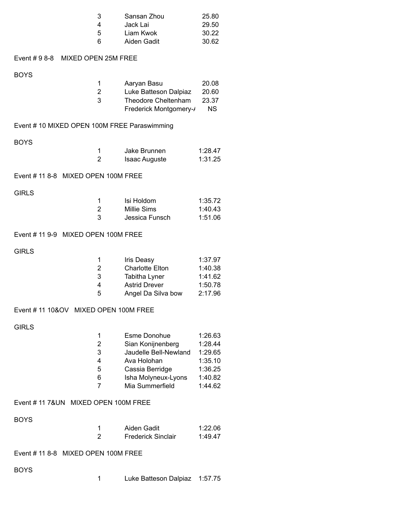|              | 3<br>4<br>5<br>6                             | Sansan Zhou<br>Jack Lai<br>Liam Kwok<br>Aiden Gadit | 25.80<br>29.50<br>30.22<br>30.62 |  |  |
|--------------|----------------------------------------------|-----------------------------------------------------|----------------------------------|--|--|
|              | Event #98-8 MIXED OPEN 25M FREE              |                                                     |                                  |  |  |
| <b>BOYS</b>  |                                              |                                                     |                                  |  |  |
|              | 1                                            | Aaryan Basu                                         | 20.08                            |  |  |
|              | $\overline{c}$<br>3                          | Luke Batteson Dalpiaz<br>Theodore Cheltenham        | 20.60<br>23.37                   |  |  |
|              |                                              | Frederick Montgomery-/                              | <b>NS</b>                        |  |  |
|              | Event # 10 MIXED OPEN 100M FREE Paraswimming |                                                     |                                  |  |  |
| <b>BOYS</b>  |                                              |                                                     |                                  |  |  |
|              | $\mathbf 1$                                  | Jake Brunnen                                        | 1:28.47                          |  |  |
|              | $\overline{2}$                               | <b>Isaac Auguste</b>                                | 1:31.25                          |  |  |
|              | Event # 11 8-8 MIXED OPEN 100M FREE          |                                                     |                                  |  |  |
| <b>GIRLS</b> |                                              | Isi Holdom                                          |                                  |  |  |
|              | $\mathbf 1$<br>$\overline{2}$                | <b>Millie Sims</b>                                  | 1:35.72<br>1:40.43               |  |  |
|              | 3                                            | Jessica Funsch                                      | 1:51.06                          |  |  |
|              | Event # 11 9-9 MIXED OPEN 100M FREE          |                                                     |                                  |  |  |
| <b>GIRLS</b> |                                              |                                                     |                                  |  |  |
|              | $\mathbf 1$                                  | Iris Deasy                                          | 1:37.97                          |  |  |
|              | $\overline{c}$<br>3                          | <b>Charlotte Elton</b><br>Tabitha Lyner             | 1:40.38<br>1:41.62               |  |  |
|              | 4                                            | <b>Astrid Drever</b>                                | 1:50.78                          |  |  |
|              | 5                                            | Angel Da Silva bow                                  | 2:17.96                          |  |  |
|              | Event # 11 10&OV MIXED OPEN 100M FREE        |                                                     |                                  |  |  |
| <b>GIRLS</b> |                                              |                                                     |                                  |  |  |
|              | 1                                            | <b>Esme Donohue</b>                                 | 1:26.63                          |  |  |
|              | $\overline{2}$<br>3                          | Sian Konijnenberg<br>Jaudelle Bell-Newland          | 1:28.44<br>1:29.65               |  |  |
|              | 4                                            | Ava Holohan                                         | 1:35.10                          |  |  |
|              | 5                                            | Cassia Berridge                                     | 1:36.25                          |  |  |
|              | 6<br>$\overline{7}$                          | Isha Molyneux-Lyons<br>Mia Summerfield              | 1:40.82<br>1:44.62               |  |  |
|              | Event # 11 7&UN MIXED OPEN 100M FREE         |                                                     |                                  |  |  |
| <b>BOYS</b>  |                                              |                                                     |                                  |  |  |
|              | 1                                            | Aiden Gadit                                         | 1:22.06                          |  |  |
|              | $\overline{2}$                               | <b>Frederick Sinclair</b>                           | 1:49.47                          |  |  |
|              | Event # 11 8-8 MIXED OPEN 100M FREE          |                                                     |                                  |  |  |
| <b>BOYS</b>  |                                              |                                                     |                                  |  |  |
|              | 1                                            | Luke Batteson Dalpiaz                               | 1:57.75                          |  |  |
|              |                                              |                                                     |                                  |  |  |